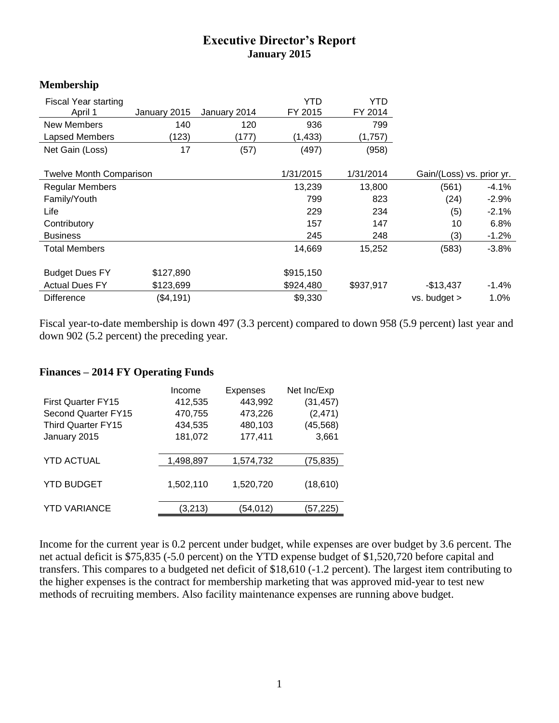## **Executive Director's Report January 2015**

## **Membership**

| <b>Fiscal Year starting</b>    |              |              | <b>YTD</b> | YTD                       |                  |          |
|--------------------------------|--------------|--------------|------------|---------------------------|------------------|----------|
| April 1                        | January 2015 | January 2014 | FY 2015    | FY 2014                   |                  |          |
| New Members                    | 140          | 120          | 936        | 799                       |                  |          |
| <b>Lapsed Members</b>          | (123)        | (177)        | (1, 433)   | (1,757)                   |                  |          |
| Net Gain (Loss)                | 17           | (57)         | (497)      | (958)                     |                  |          |
|                                |              |              |            |                           |                  |          |
| <b>Twelve Month Comparison</b> |              | 1/31/2015    | 1/31/2014  | Gain/(Loss) vs. prior yr. |                  |          |
| <b>Regular Members</b>         |              |              | 13,239     | 13,800                    | (561)            | $-4.1\%$ |
| Family/Youth                   |              |              | 799        | 823                       | (24)             | $-2.9%$  |
| Life                           |              |              | 229        | 234                       | (5)              | $-2.1%$  |
| Contributory                   |              |              | 157        | 147                       | 10               | 6.8%     |
| <b>Business</b>                |              |              | 245        | 248                       | (3)              | $-1.2%$  |
| <b>Total Members</b>           |              |              | 14,669     | 15,252                    | (583)            | $-3.8%$  |
|                                |              |              |            |                           |                  |          |
| <b>Budget Dues FY</b>          | \$127,890    |              | \$915,150  |                           |                  |          |
| <b>Actual Dues FY</b>          | \$123,699    |              | \$924,480  | \$937,917                 | $-$13,437$       | $-1.4%$  |
| <b>Difference</b>              | (\$4,191)    |              | \$9,330    |                           | $vs.$ budget $>$ | 1.0%     |

Fiscal year-to-date membership is down 497 (3.3 percent) compared to down 958 (5.9 percent) last year and down 902 (5.2 percent) the preceding year.

## **Finances – 2014 FY Operating Funds**

|                           | Income    | <b>Expenses</b> | Net Inc/Exp |
|---------------------------|-----------|-----------------|-------------|
| <b>First Quarter FY15</b> | 412,535   | 443,992         | (31, 457)   |
| Second Quarter FY15       | 470,755   | 473,226         | (2, 471)    |
| <b>Third Quarter FY15</b> | 434,535   | 480,103         | (45, 568)   |
| January 2015              | 181,072   | 177,411         | 3,661       |
| <b>YTD ACTUAL</b>         | 1,498,897 | 1,574,732       | (75, 835)   |
| <b>YTD BUDGET</b>         | 1,502,110 | 1,520,720       | (18, 610)   |
| <b>YTD VARIANCE</b>       | (3,213)   | (54,012)        | (57, 225)   |

Income for the current year is 0.2 percent under budget, while expenses are over budget by 3.6 percent. The net actual deficit is \$75,835 (-5.0 percent) on the YTD expense budget of \$1,520,720 before capital and transfers. This compares to a budgeted net deficit of \$18,610 (-1.2 percent). The largest item contributing to the higher expenses is the contract for membership marketing that was approved mid-year to test new methods of recruiting members. Also facility maintenance expenses are running above budget.